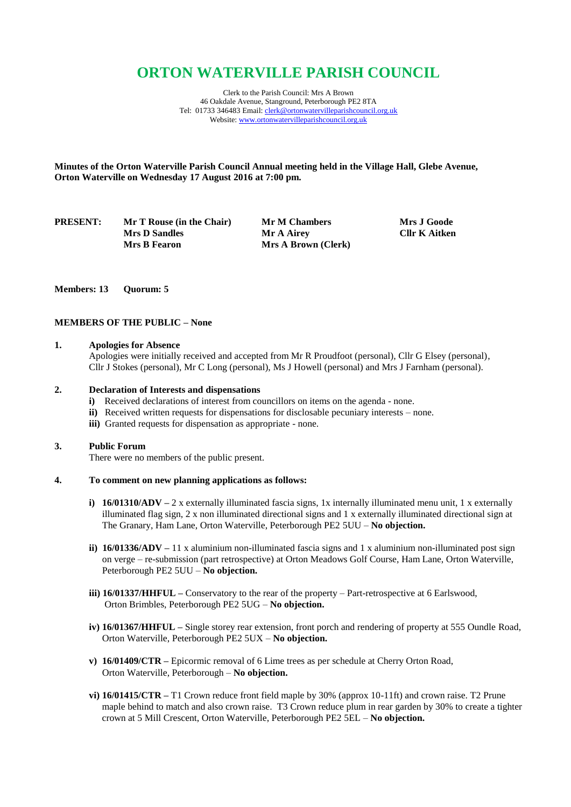# **ORTON WATERVILLE PARISH COUNCIL**

Clerk to the Parish Council: Mrs A Brown 46 Oakdale Avenue, Stanground, Peterborough PE2 8TA Tel: 01733 346483 Email[: clerk@ortonwatervilleparishcouncil.org.uk](mailto:clerk@ortonwatervilleparishcouncil.org.uk) Website[: www.ortonwatervilleparishcouncil.org.uk](http://www.ortonwatervilleparishcouncil.org.uk/)

**Minutes of the Orton Waterville Parish Council Annual meeting held in the Village Hall, Glebe Avenue, Orton Waterville on Wednesday 17 August 2016 at 7:00 pm.**

**PRESENT:** Mr T Rouse (in the Chair) Mr M Chambers Mrs J Goode<br>Mr A Airey Cllr K Aitken **Mrs D Sandles Mr A Airey Mrs B Fearon Mrs A Brown (Clerk)** 

### **Members: 13 Quorum: 5**

## **MEMBERS OF THE PUBLIC – None**

# **1. Apologies for Absence**

Apologies were initially received and accepted from Mr R Proudfoot (personal), Cllr G Elsey (personal), Cllr J Stokes (personal), Mr C Long (personal), Ms J Howell (personal) and Mrs J Farnham (personal).

#### **2. Declaration of Interests and dispensations**

- **i)** Received declarations of interest from councillors on items on the agenda none.
- **ii)** Received written requests for dispensations for disclosable pecuniary interests none.
- **iii)** Granted requests for dispensation as appropriate none.

### **3. Public Forum**

There were no members of the public present.

# **4. To comment on new planning applications as follows:**

- **i) 16/01310/ADV** 2 x externally illuminated fascia signs, 1x internally illuminated menu unit, 1 x externally illuminated flag sign, 2 x non illuminated directional signs and 1 x externally illuminated directional sign at The Granary, Ham Lane, Orton Waterville, Peterborough PE2 5UU – **No objection.**
- **ii) 16/01336/ADV** 11 x aluminium non-illuminated fascia signs and 1 x aluminium non-illuminated post sign on verge – re-submission (part retrospective) at Orton Meadows Golf Course, Ham Lane, Orton Waterville, Peterborough PE2 5UU – **No objection.**
- **iii) 16/01337/HHFUL –** Conservatory to the rear of the property Part-retrospective at 6 Earlswood, Orton Brimbles, Peterborough PE2 5UG – **No objection.**
- **iv) 16/01367/HHFUL –** Single storey rear extension, front porch and rendering of property at 555 Oundle Road, Orton Waterville, Peterborough PE2 5UX – **No objection.**
- **v) 16/01409/CTR –** Epicormic removal of 6 Lime trees as per schedule at Cherry Orton Road, Orton Waterville, Peterborough – **No objection.**
- **vi) 16/01415/CTR –** T1 Crown reduce front field maple by 30% (approx 10-11ft) and crown raise. T2 Prune maple behind to match and also crown raise. T3 Crown reduce plum in rear garden by 30% to create a tighter crown at 5 Mill Crescent, Orton Waterville, Peterborough PE2 5EL – **No objection.**